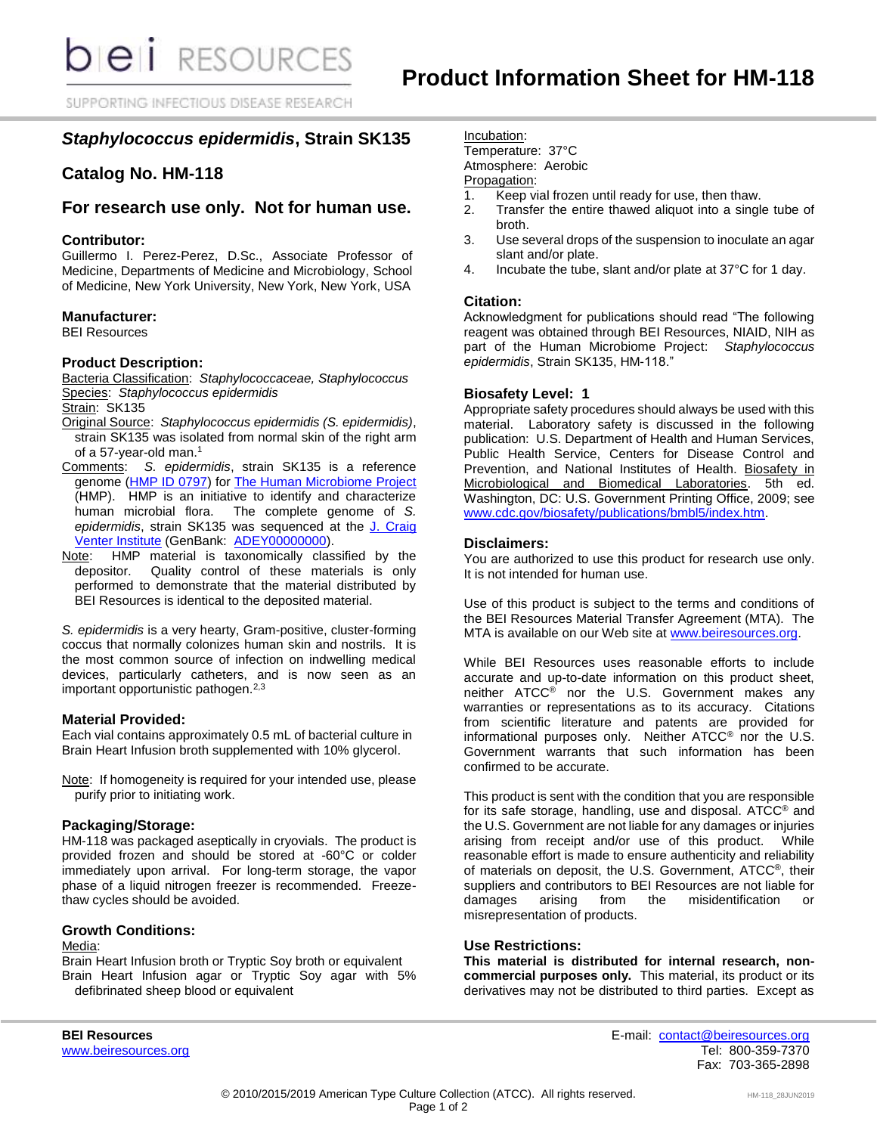SUPPORTING INFECTIOUS DISEASE RESEARCH

# *Staphylococcus epidermidis***, Strain SK135**

# **Catalog No. HM-118**

# **For research use only. Not for human use.**

#### **Contributor:**

Guillermo I. Perez-Perez, D.Sc., Associate Professor of Medicine, Departments of Medicine and Microbiology, School of Medicine, New York University, New York, New York, USA

### **Manufacturer:**

BEI Resources

### **Product Description:**

Bacteria Classification: *Staphylococcaceae, Staphylococcus* Species: *Staphylococcus epidermidis*

Strain: SK135

- Original Source: *Staphylococcus epidermidis (S. epidermidis)*, strain SK135 was isolated from normal skin of the right arm of a 57-year-old man.<sup>1</sup>
- Comments: *S. epidermidis*, strain SK135 is a reference genome [\(HMP ID 0797\)](http://www.hmpdacc.org/catalog/grid.php?dataset=genomic) fo[r The Human Microbiome Project](https://www.hmpdacc.org/) (HMP). HMP is an initiative to identify and characterize human microbial flora. The complete genome of *S. epidermidis*, strain SK135 was sequenced at the [J. Craig](http://hmp.jcvi.org/index.php)  [Venter Institute](http://hmp.jcvi.org/index.php) (GenBank: [ADEY00000000\)](http://www.ncbi.nlm.nih.gov/nuccore/ADEY00000000).
- Note: HMP material is taxonomically classified by the depositor. Quality control of these materials is only performed to demonstrate that the material distributed by BEI Resources is identical to the deposited material.

*S. epidermidis* is a very hearty, Gram-positive, cluster-forming coccus that normally colonizes human skin and nostrils. It is the most common source of infection on indwelling medical devices, particularly catheters, and is now seen as an important opportunistic pathogen.<sup>2,3</sup>

#### **Material Provided:**

Each vial contains approximately 0.5 mL of bacterial culture in Brain Heart Infusion broth supplemented with 10% glycerol.

Note: If homogeneity is required for your intended use, please purify prior to initiating work.

### **Packaging/Storage:**

HM-118 was packaged aseptically in cryovials. The product is provided frozen and should be stored at -60°C or colder immediately upon arrival. For long-term storage, the vapor phase of a liquid nitrogen freezer is recommended. Freezethaw cycles should be avoided.

# **Growth Conditions:**

# Media:

Brain Heart Infusion broth or Tryptic Soy broth or equivalent Brain Heart Infusion agar or Tryptic Soy agar with 5% defibrinated sheep blood or equivalent

Incubation: Temperature: 37°C Atmosphere: Aerobic

Propagation:

- 1. Keep vial frozen until ready for use, then thaw.
- 2. Transfer the entire thawed aliquot into a single tube of broth.
- 3. Use several drops of the suspension to inoculate an agar slant and/or plate.
- 4. Incubate the tube, slant and/or plate at 37°C for 1 day.

#### **Citation:**

Acknowledgment for publications should read "The following reagent was obtained through BEI Resources, NIAID, NIH as part of the Human Microbiome Project: *Staphylococcus epidermidis*, Strain SK135, HM-118."

### **Biosafety Level: 1**

Appropriate safety procedures should always be used with this material. Laboratory safety is discussed in the following publication: U.S. Department of Health and Human Services, Public Health Service, Centers for Disease Control and Prevention, and National Institutes of Health. Biosafety in Microbiological and Biomedical Laboratories. 5th ed. Washington, DC: U.S. Government Printing Office, 2009; see [www.cdc.gov/biosafety/publications/bmbl5/index.htm.](http://www.cdc.gov/biosafety/publications/bmbl5/index.htm)

#### **Disclaimers:**

You are authorized to use this product for research use only. It is not intended for human use.

Use of this product is subject to the terms and conditions of the BEI Resources Material Transfer Agreement (MTA). The MTA is available on our Web site at [www.beiresources.org.](http://www.beiresources.org/)

While BEI Resources uses reasonable efforts to include accurate and up-to-date information on this product sheet, neither ATCC<sup>®</sup> nor the U.S. Government makes any warranties or representations as to its accuracy. Citations from scientific literature and patents are provided for informational purposes only. Neither ATCC® nor the U.S. Government warrants that such information has been confirmed to be accurate.

This product is sent with the condition that you are responsible for its safe storage, handling, use and disposal. ATCC® and the U.S. Government are not liable for any damages or injuries arising from receipt and/or use of this product. While reasonable effort is made to ensure authenticity and reliability of materials on deposit, the U.S. Government, ATCC®, their suppliers and contributors to BEI Resources are not liable for damages arising from the misidentification or misrepresentation of products.

# **Use Restrictions:**

**This material is distributed for internal research, noncommercial purposes only.** This material, its product or its derivatives may not be distributed to third parties. Except as

**BEI Resources** E-mail: contact@beiresources.org [www.beiresources.org](http://www.beiresources.org/) **Tel: 800-359-7370** Fax: 703-365-2898